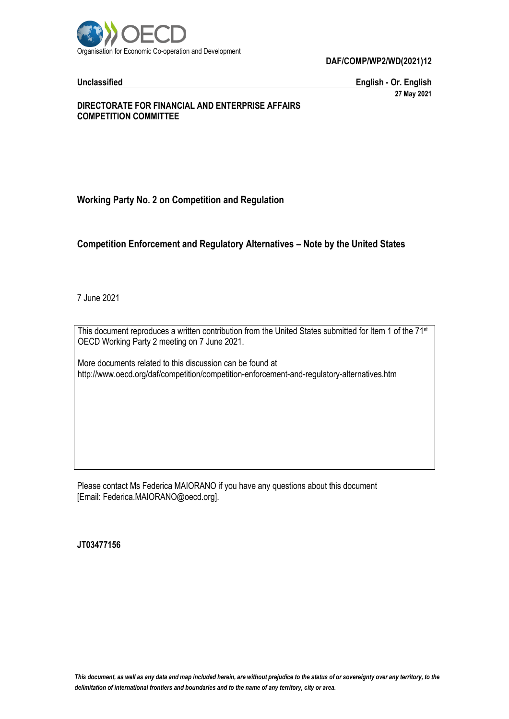

**Unclassified English - Or. English 27 May 2021**

### **DIRECTORATE FOR FINANCIAL AND ENTERPRISE AFFAIRS COMPETITION COMMITTEE**

# **Working Party No. 2 on Competition and Regulation**

# **Competition Enforcement and Regulatory Alternatives – Note by the United States**

7 June 2021

This document reproduces a written contribution from the United States submitted for Item 1 of the 71<sup>st</sup> OECD Working Party 2 meeting on 7 June 2021.

More documents related to this discussion can be found at http://www.oecd.org/daf/competition/competition-enforcement-and-regulatory-alternatives.htm

Please contact Ms Federica MAIORANO if you have any questions about this document [Email: Federica.MAIORANO@oecd.org].

**JT03477156**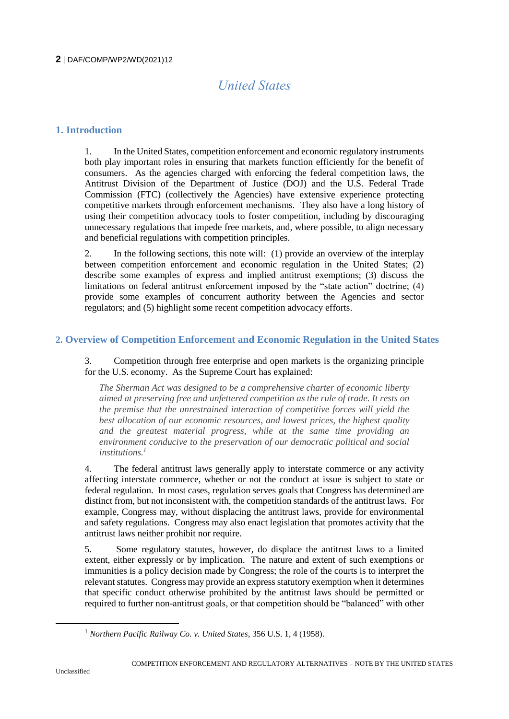# *United States*

# **1. Introduction**

1. In the United States, competition enforcement and economic regulatory instruments both play important roles in ensuring that markets function efficiently for the benefit of consumers. As the agencies charged with enforcing the federal competition laws, the Antitrust Division of the Department of Justice (DOJ) and the U.S. Federal Trade Commission (FTC) (collectively the Agencies) have extensive experience protecting competitive markets through enforcement mechanisms. They also have a long history of using their competition advocacy tools to foster competition, including by discouraging unnecessary regulations that impede free markets, and, where possible, to align necessary and beneficial regulations with competition principles.

2. In the following sections, this note will: (1) provide an overview of the interplay between competition enforcement and economic regulation in the United States; (2) describe some examples of express and implied antitrust exemptions; (3) discuss the limitations on federal antitrust enforcement imposed by the "state action" doctrine; (4) provide some examples of concurrent authority between the Agencies and sector regulators; and (5) highlight some recent competition advocacy efforts.

# **2. Overview of Competition Enforcement and Economic Regulation in the United States**

3. Competition through free enterprise and open markets is the organizing principle for the U.S. economy. As the Supreme Court has explained:

*The Sherman Act was designed to be a comprehensive charter of economic liberty aimed at preserving free and unfettered competition as the rule of trade. It rests on the premise that the unrestrained interaction of competitive forces will yield the best allocation of our economic resources, and lowest prices, the highest quality and the greatest material progress, while at the same time providing an environment conducive to the preservation of our democratic political and social institutions.<sup>1</sup>* 

4. The federal antitrust laws generally apply to interstate commerce or any activity affecting interstate commerce, whether or not the conduct at issue is subject to state or federal regulation. In most cases, regulation serves goals that Congress has determined are distinct from, but not inconsistent with, the competition standards of the antitrust laws. For example, Congress may, without displacing the antitrust laws, provide for environmental and safety regulations. Congress may also enact legislation that promotes activity that the antitrust laws neither prohibit nor require.

5. Some regulatory statutes, however, do displace the antitrust laws to a limited extent, either expressly or by implication. The nature and extent of such exemptions or immunities is a policy decision made by Congress; the role of the courts is to interpret the relevant statutes. Congress may provide an express statutory exemption when it determines that specific conduct otherwise prohibited by the antitrust laws should be permitted or required to further non-antitrust goals, or that competition should be "balanced" with other

<sup>1</sup> *Northern Pacific Railway Co. v. United States*, 356 U.S. 1, 4 (1958).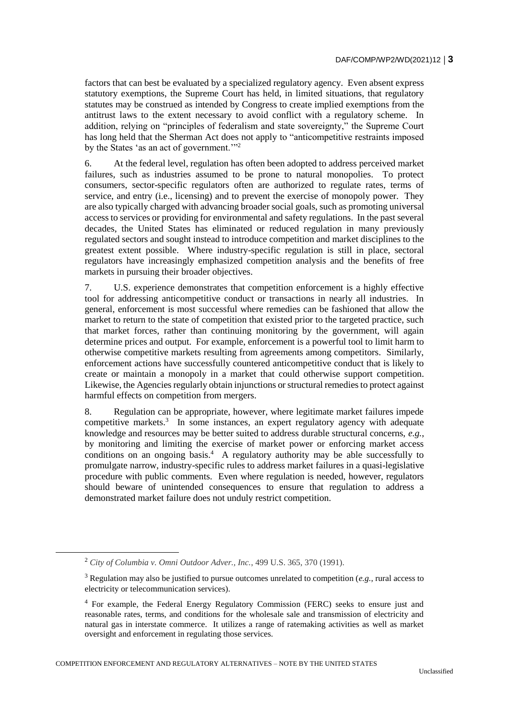factors that can best be evaluated by a specialized regulatory agency. Even absent express statutory exemptions, the Supreme Court has held, in limited situations, that regulatory statutes may be construed as intended by Congress to create implied exemptions from the antitrust laws to the extent necessary to avoid conflict with a regulatory scheme. In addition, relying on "principles of federalism and state sovereignty," the Supreme Court has long held that the Sherman Act does not apply to "anticompetitive restraints imposed by the States 'as an act of government."<sup>2</sup>

6. At the federal level, regulation has often been adopted to address perceived market failures, such as industries assumed to be prone to natural monopolies. To protect consumers, sector-specific regulators often are authorized to regulate rates, terms of service, and entry (i.e., licensing) and to prevent the exercise of monopoly power. They are also typically charged with advancing broader social goals, such as promoting universal access to services or providing for environmental and safety regulations. In the past several decades, the United States has eliminated or reduced regulation in many previously regulated sectors and sought instead to introduce competition and market disciplines to the greatest extent possible. Where industry-specific regulation is still in place, sectoral regulators have increasingly emphasized competition analysis and the benefits of free markets in pursuing their broader objectives.

7. U.S. experience demonstrates that competition enforcement is a highly effective tool for addressing anticompetitive conduct or transactions in nearly all industries. In general, enforcement is most successful where remedies can be fashioned that allow the market to return to the state of competition that existed prior to the targeted practice, such that market forces, rather than continuing monitoring by the government, will again determine prices and output. For example, enforcement is a powerful tool to limit harm to otherwise competitive markets resulting from agreements among competitors. Similarly, enforcement actions have successfully countered anticompetitive conduct that is likely to create or maintain a monopoly in a market that could otherwise support competition. Likewise, the Agencies regularly obtain injunctions or structural remedies to protect against harmful effects on competition from mergers.

8. Regulation can be appropriate, however, where legitimate market failures impede competitive markets. $3$  In some instances, an expert regulatory agency with adequate knowledge and resources may be better suited to address durable structural concerns, *e.g.*, by monitoring and limiting the exercise of market power or enforcing market access conditions on an ongoing basis.<sup>4</sup> A regulatory authority may be able successfully to promulgate narrow, industry-specific rules to address market failures in a quasi-legislative procedure with public comments. Even where regulation is needed, however, regulators should beware of unintended consequences to ensure that regulation to address a demonstrated market failure does not unduly restrict competition.

<sup>2</sup> *City of Columbia v. Omni Outdoor Adver., Inc.*, 499 U.S. 365, 370 (1991).

<sup>3</sup> Regulation may also be justified to pursue outcomes unrelated to competition (*e.g.*, rural access to electricity or telecommunication services).

<sup>4</sup> For example, the Federal Energy Regulatory Commission (FERC) seeks to ensure just and reasonable rates, terms, and conditions for the wholesale sale and transmission of electricity and natural gas in interstate commerce. It utilizes a range of ratemaking activities as well as market oversight and enforcement in regulating those services.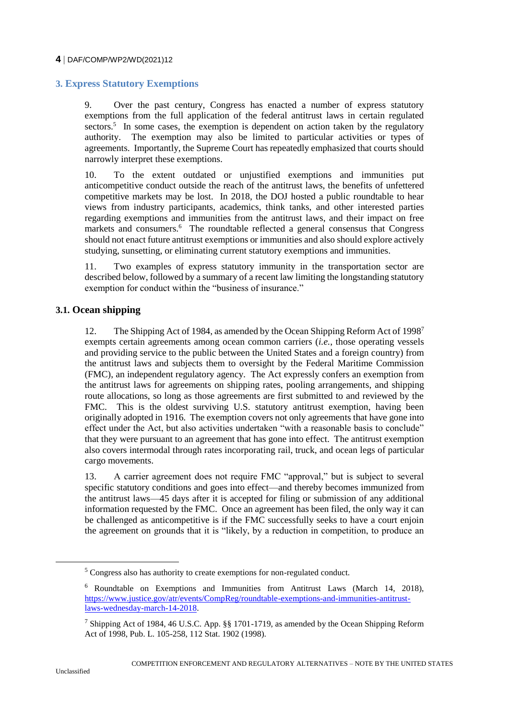# **3. Express Statutory Exemptions**

9. Over the past century, Congress has enacted a number of express statutory exemptions from the full application of the federal antitrust laws in certain regulated  $sectors<sup>5</sup>$  In some cases, the exemption is dependent on action taken by the regulatory authority. The exemption may also be limited to particular activities or types of agreements. Importantly, the Supreme Court has repeatedly emphasized that courts should narrowly interpret these exemptions.

10. To the extent outdated or unjustified exemptions and immunities put anticompetitive conduct outside the reach of the antitrust laws, the benefits of unfettered competitive markets may be lost. In 2018, the DOJ hosted a public roundtable to hear views from industry participants, academics, think tanks, and other interested parties regarding exemptions and immunities from the antitrust laws, and their impact on free markets and consumers.<sup>6</sup> The roundtable reflected a general consensus that Congress should not enact future antitrust exemptions or immunities and also should explore actively studying, sunsetting, or eliminating current statutory exemptions and immunities.

11. Two examples of express statutory immunity in the transportation sector are described below, followed by a summary of a recent law limiting the longstanding statutory exemption for conduct within the "business of insurance."

### **3.1. Ocean shipping**

12. The Shipping Act of 1984, as amended by the Ocean Shipping Reform Act of 1998<sup>7</sup> exempts certain agreements among ocean common carriers (*i.e.*, those operating vessels and providing service to the public between the United States and a foreign country) from the antitrust laws and subjects them to oversight by the Federal Maritime Commission (FMC), an independent regulatory agency. The Act expressly confers an exemption from the antitrust laws for agreements on shipping rates, pooling arrangements, and shipping route allocations, so long as those agreements are first submitted to and reviewed by the FMC. This is the oldest surviving U.S. statutory antitrust exemption, having been originally adopted in 1916. The exemption covers not only agreements that have gone into effect under the Act, but also activities undertaken "with a reasonable basis to conclude" that they were pursuant to an agreement that has gone into effect. The antitrust exemption also covers intermodal through rates incorporating rail, truck, and ocean legs of particular cargo movements.

13. A carrier agreement does not require FMC "approval," but is subject to several specific statutory conditions and goes into effect—and thereby becomes immunized from the antitrust laws—45 days after it is accepted for filing or submission of any additional information requested by the FMC. Once an agreement has been filed, the only way it can be challenged as anticompetitive is if the FMC successfully seeks to have a court enjoin the agreement on grounds that it is "likely, by a reduction in competition, to produce an

<sup>5</sup> Congress also has authority to create exemptions for non-regulated conduct.

<sup>6</sup> Roundtable on Exemptions and Immunities from Antitrust Laws (March 14, 2018), [https://www.justice.gov/atr/events/CompReg/roundtable-exemptions-and-immunities-antitrust](https://www.justice.gov/atr/events/CompReg/roundtable-exemptions-and-immunities-antitrust-laws-wednesday-march-14-2018)[laws-wednesday-march-14-2018.](https://www.justice.gov/atr/events/CompReg/roundtable-exemptions-and-immunities-antitrust-laws-wednesday-march-14-2018) 

<sup>&</sup>lt;sup>7</sup> Shipping Act of 1984, 46 U.S.C. App. §§ 1701-1719, as amended by the Ocean Shipping Reform Act of 1998, Pub. L. 105-258, 112 Stat. 1902 (1998).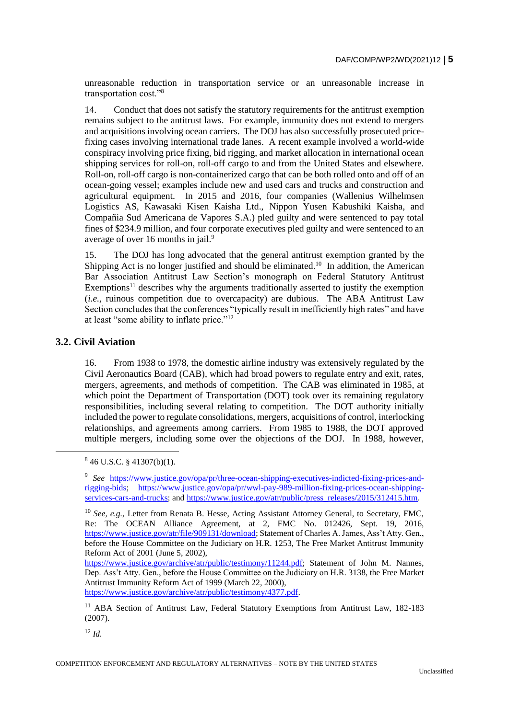unreasonable reduction in transportation service or an unreasonable increase in transportation cost."<sup>8</sup>

14. Conduct that does not satisfy the statutory requirements for the antitrust exemption remains subject to the antitrust laws. For example, immunity does not extend to mergers and acquisitions involving ocean carriers. The DOJ has also successfully prosecuted pricefixing cases involving international trade lanes. A recent example involved a world-wide conspiracy involving price fixing, bid rigging, and market allocation in international ocean shipping services for roll-on, roll-off cargo to and from the United States and elsewhere. Roll-on, roll-off cargo is non-containerized cargo that can be both rolled onto and off of an ocean-going vessel; examples include new and used cars and trucks and construction and agricultural equipment. In 2015 and 2016, four companies (Wallenius Wilhelmsen Logistics AS, Kawasaki Kisen Kaisha Ltd., Nippon Yusen Kabushiki Kaisha, and Compañia Sud Americana de Vapores S.A.) pled guilty and were sentenced to pay total fines of \$234.9 million, and four corporate executives pled guilty and were sentenced to an average of over 16 months in jail.<sup>9</sup>

15. The DOJ has long advocated that the general antitrust exemption granted by the Shipping Act is no longer justified and should be eliminated.<sup>10</sup> In addition, the American Bar Association Antitrust Law Section's monograph on Federal Statutory Antitrust Exemptions<sup>11</sup> describes why the arguments traditionally asserted to justify the exemption (*i.e.*, ruinous competition due to overcapacity) are dubious. The ABA Antitrust Law Section concludes that the conferences "typically result in inefficiently high rates" and have at least "some ability to inflate price."<sup>12</sup>

### **3.2. Civil Aviation**

 $\overline{a}$ 

16. From 1938 to 1978, the domestic airline industry was extensively regulated by the Civil Aeronautics Board (CAB), which had broad powers to regulate entry and exit, rates, mergers, agreements, and methods of competition. The CAB was eliminated in 1985, at which point the Department of Transportation (DOT) took over its remaining regulatory responsibilities, including several relating to competition. The DOT authority initially included the power to regulate consolidations, mergers, acquisitions of control, interlocking relationships, and agreements among carriers. From 1985 to 1988, the DOT approved multiple mergers, including some over the objections of the DOJ. In 1988, however,

<sup>12</sup> *Id.*

 $846$  U.S.C. § 41307(b)(1).

<sup>&</sup>lt;sup>9</sup> See [https://www.justice.gov/opa/pr/three-ocean-shipping-executives-indicted-fixing-prices-and](https://www.justice.gov/opa/pr/three-ocean-shipping-executives-indicted-fixing-prices-and-rigging-bids)[rigging-bids;](https://www.justice.gov/opa/pr/three-ocean-shipping-executives-indicted-fixing-prices-and-rigging-bids) [https://www.justice.gov/opa/pr/wwl-pay-989-million-fixing-prices-ocean-shipping](https://www.justice.gov/opa/pr/wwl-pay-989-million-fixing-prices-ocean-shipping-services-cars-and-trucks)[services-cars-and-trucks;](https://www.justice.gov/opa/pr/wwl-pay-989-million-fixing-prices-ocean-shipping-services-cars-and-trucks) and [https://www.justice.gov/atr/public/press\\_releases/2015/312415.htm.](https://www.justice.gov/atr/public/press_releases/2015/312415.htm)

<sup>10</sup> *See, e.g.,* Letter from Renata B. Hesse, Acting Assistant Attorney General, to Secretary, FMC, Re: The OCEAN Alliance Agreement, at 2, FMC No. 012426, Sept. 19, 2016, [https://www.justice.gov/atr/file/909131/download;](https://www.justice.gov/atr/file/909131/download) Statement of Charles A. James, Ass't Atty. Gen., before the House Committee on the Judiciary on H.R. 1253, The Free Market Antitrust Immunity Reform Act of 2001 (June 5, 2002),

[https://www.justice.gov/archive/atr/public/testimony/11244.pdf;](https://www.justice.gov/archive/atr/public/testimony/11244.pdf) Statement of John M. Nannes, Dep. Ass't Atty. Gen., before the House Committee on the Judiciary on H.R. 3138, the Free Market Antitrust Immunity Reform Act of 1999 (March 22, 2000), [https://www.justice.gov/archive/atr/public/testimony/4377.pdf.](https://www.justice.gov/archive/atr/public/testimony/4377.pdf)

<sup>&</sup>lt;sup>11</sup> ABA Section of Antitrust Law, Federal Statutory Exemptions from Antitrust Law, 182-183 (2007).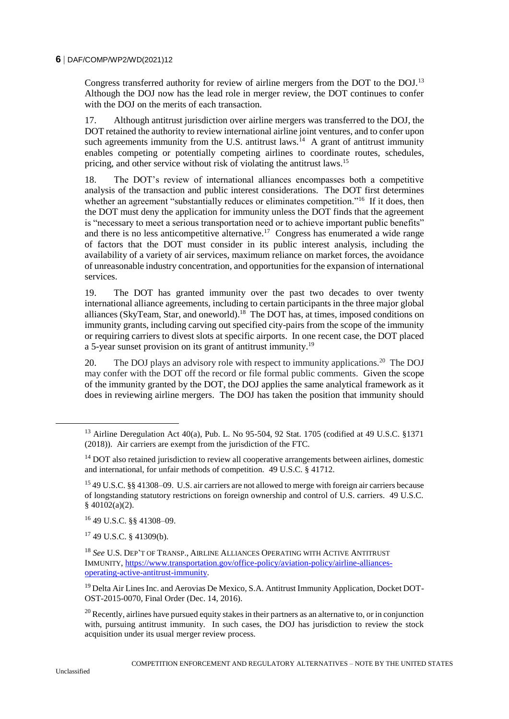Congress transferred authority for review of airline mergers from the DOT to the DOJ.<sup>13</sup> Although the DOJ now has the lead role in merger review, the DOT continues to confer with the DOJ on the merits of each transaction.

17. Although antitrust jurisdiction over airline mergers was transferred to the DOJ, the DOT retained the authority to review international airline joint ventures, and to confer upon such agreements immunity from the U.S. antitrust laws.<sup>14</sup> A grant of antitrust immunity enables competing or potentially competing airlines to coordinate routes, schedules, pricing, and other service without risk of violating the antitrust laws.<sup>15</sup>

18. The DOT's review of international alliances encompasses both a competitive analysis of the transaction and public interest considerations. The DOT first determines whether an agreement "substantially reduces or eliminates competition."<sup>16</sup> If it does, then the DOT must deny the application for immunity unless the DOT finds that the agreement is "necessary to meet a serious transportation need or to achieve important public benefits" and there is no less anticompetitive alternative.<sup>17</sup> Congress has enumerated a wide range of factors that the DOT must consider in its public interest analysis, including the availability of a variety of air services, maximum reliance on market forces, the avoidance of unreasonable industry concentration, and opportunities for the expansion of international services.

19. The DOT has granted immunity over the past two decades to over twenty international alliance agreements, including to certain participants in the three major global alliances (SkyTeam, Star, and oneworld).<sup>18</sup> The DOT has, at times, imposed conditions on immunity grants, including carving out specified city-pairs from the scope of the immunity or requiring carriers to divest slots at specific airports. In one recent case, the DOT placed a 5-year sunset provision on its grant of antitrust immunity.<sup>19</sup>

20. The DOJ plays an advisory role with respect to immunity applications.<sup>20</sup> The DOJ may confer with the DOT off the record or file formal public comments. Given the scope of the immunity granted by the DOT, the DOJ applies the same analytical framework as it does in reviewing airline mergers. The DOJ has taken the position that immunity should

<sup>17</sup> 49 U.S.C. § 41309(b).

<sup>&</sup>lt;sup>13</sup> Airline Deregulation Act 40(a), Pub. L. No 95-504, 92 Stat. 1705 (codified at 49 U.S.C. §1371 (2018)). Air carriers are exempt from the jurisdiction of the FTC.

 $14$  DOT also retained jurisdiction to review all cooperative arrangements between airlines, domestic and international, for unfair methods of competition. 49 U.S.C. § 41712.

<sup>15</sup> 49 U.S.C. §§ 41308–09. U.S. air carriers are not allowed to merge with foreign air carriers because of longstanding statutory restrictions on foreign ownership and control of U.S. carriers. 49 U.S.C. § 40102(a)(2).

<sup>16</sup> 49 U.S.C. §§ 41308–09.

<sup>18</sup> *See* U.S. DEP'T OF TRANSP., AIRLINE ALLIANCES OPERATING WITH ACTIVE ANTITRUST IMMUNITY, [https://www.transportation.gov/office-policy/aviation-policy/airline-alliances](https://www.transportation.gov/office-policy/aviation-policy/airline-alliances-operating-active-antitrust-immunity)[operating-active-antitrust-immunity.](https://www.transportation.gov/office-policy/aviation-policy/airline-alliances-operating-active-antitrust-immunity) 

<sup>&</sup>lt;sup>19</sup> Delta Air Lines Inc. and Aerovias De Mexico, S.A. Antitrust Immunity Application, Docket DOT-OST-2015-0070, Final Order (Dec. 14, 2016).

 $20$  Recently, airlines have pursued equity stakes in their partners as an alternative to, or in conjunction with, pursuing antitrust immunity. In such cases, the DOJ has jurisdiction to review the stock acquisition under its usual merger review process.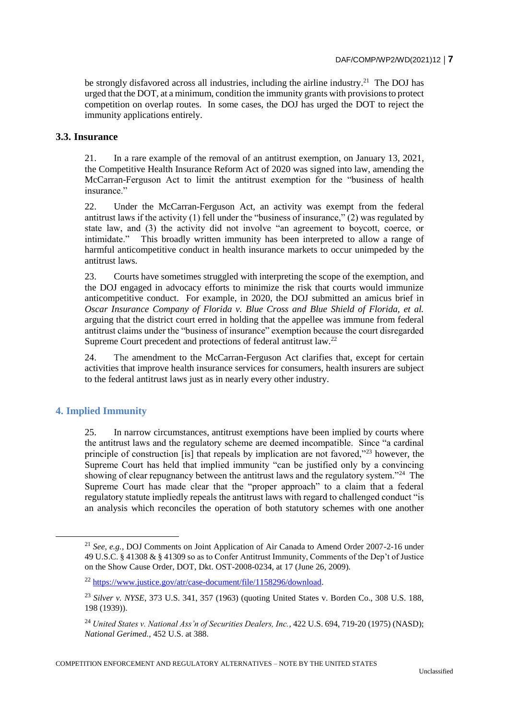be strongly disfavored across all industries, including the airline industry.<sup>21</sup> The DOJ has urged that the DOT, at a minimum, condition the immunity grants with provisions to protect competition on overlap routes. In some cases, the DOJ has urged the DOT to reject the immunity applications entirely.

### **3.3. Insurance**

21. In a rare example of the removal of an antitrust exemption, on January 13, 2021, the Competitive Health Insurance Reform Act of 2020 was signed into law, amending the McCarran-Ferguson Act to limit the antitrust exemption for the "business of health insurance."

22. Under the McCarran-Ferguson Act, an activity was exempt from the federal antitrust laws if the activity (1) fell under the "business of insurance,"  $(2)$  was regulated by state law, and (3) the activity did not involve "an agreement to boycott, coerce, or intimidate." This broadly written immunity has been interpreted to allow a range of harmful anticompetitive conduct in health insurance markets to occur unimpeded by the antitrust laws.

23. Courts have sometimes struggled with interpreting the scope of the exemption, and the DOJ engaged in advocacy efforts to minimize the risk that courts would immunize anticompetitive conduct. For example, in 2020, the DOJ submitted an amicus brief in *Oscar Insurance Company of Florida v. Blue Cross and Blue Shield of Florida, et al.*  arguing that the district court erred in holding that the appellee was immune from federal antitrust claims under the "business of insurance" exemption because the court disregarded Supreme Court precedent and protections of federal antitrust law.<sup>22</sup>

24. The amendment to the McCarran-Ferguson Act clarifies that, except for certain activities that improve health insurance services for consumers, health insurers are subject to the federal antitrust laws just as in nearly every other industry.

# **4. Implied Immunity**

25. In narrow circumstances, antitrust exemptions have been implied by courts where the antitrust laws and the regulatory scheme are deemed incompatible. Since "a cardinal principle of construction [is] that repeals by implication are not favored,"<sup>23</sup> however, the Supreme Court has held that implied immunity "can be justified only by a convincing showing of clear repugnancy between the antitrust laws and the regulatory system."<sup>24</sup> The Supreme Court has made clear that the "proper approach" to a claim that a federal regulatory statute impliedly repeals the antitrust laws with regard to challenged conduct "is an analysis which reconciles the operation of both statutory schemes with one another

COMPETITION ENFORCEMENT AND REGULATORY ALTERNATIVES – NOTE BY THE UNITED STATES

<sup>21</sup> *See, e.g.*, DOJ Comments on Joint Application of Air Canada to Amend Order 2007-2-16 under 49 U.S.C. § 41308 & § 41309 so as to Confer Antitrust Immunity, Comments of the Dep't of Justice on the Show Cause Order, DOT, Dkt. OST-2008-0234, at 17 (June 26, 2009).

<sup>22</sup> [https://www.justice.gov/atr/case-document/file/1158296/download.](https://www.justice.gov/atr/case-document/file/1158296/download) 

<sup>23</sup> *Silver v. NYSE*, 373 U.S. 341, 357 (1963) (quoting United States v. Borden Co., 308 U.S. 188, 198 (1939)).

<sup>24</sup> *United States v. National Ass'n of Securities Dealers, Inc.*, 422 U.S. 694, 719-20 (1975) (NASD); *National Gerimed.*, 452 U.S. at 388.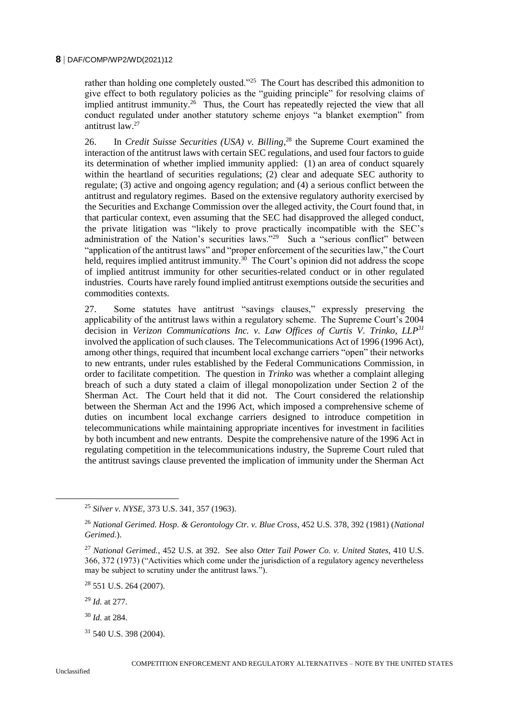rather than holding one completely ousted."<sup>25</sup> The Court has described this admonition to give effect to both regulatory policies as the "guiding principle" for resolving claims of implied antitrust immunity.<sup>26</sup> Thus, the Court has repeatedly rejected the view that all conduct regulated under another statutory scheme enjoys "a blanket exemption" from antitrust law.<sup>27</sup>

26. In *Credit Suisse Securities (USA) v. Billing*, <sup>28</sup> the Supreme Court examined the interaction of the antitrust laws with certain SEC regulations, and used four factors to guide its determination of whether implied immunity applied: (1) an area of conduct squarely within the heartland of securities regulations; (2) clear and adequate SEC authority to regulate; (3) active and ongoing agency regulation; and (4) a serious conflict between the antitrust and regulatory regimes. Based on the extensive regulatory authority exercised by the Securities and Exchange Commission over the alleged activity, the Court found that, in that particular context, even assuming that the SEC had disapproved the alleged conduct, the private litigation was "likely to prove practically incompatible with the SEC's administration of the Nation's securities laws."<sup>29</sup> Such a "serious conflict" between "application of the antitrust laws" and "proper enforcement of the securities law," the Court held, requires implied antitrust immunity.<sup>30</sup> The Court's opinion did not address the scope of implied antitrust immunity for other securities-related conduct or in other regulated industries. Courts have rarely found implied antitrust exemptions outside the securities and commodities contexts.

27. Some statutes have antitrust "savings clauses," expressly preserving the applicability of the antitrust laws within a regulatory scheme. The Supreme Court's 2004 decision in *Verizon Communications Inc. v. Law Offices of Curtis V. Trinko, LLP<sup>31</sup>* involved the application of such clauses. The Telecommunications Act of 1996 (1996 Act), among other things, required that incumbent local exchange carriers "open" their networks to new entrants, under rules established by the Federal Communications Commission, in order to facilitate competition. The question in *Trinko* was whether a complaint alleging breach of such a duty stated a claim of illegal monopolization under Section 2 of the Sherman Act. The Court held that it did not. The Court considered the relationship between the Sherman Act and the 1996 Act, which imposed a comprehensive scheme of duties on incumbent local exchange carriers designed to introduce competition in telecommunications while maintaining appropriate incentives for investment in facilities by both incumbent and new entrants. Despite the comprehensive nature of the 1996 Act in regulating competition in the telecommunications industry, the Supreme Court ruled that the antitrust savings clause prevented the implication of immunity under the Sherman Act

<sup>28</sup> 551 U.S. 264 (2007).

<sup>29</sup> *Id.* at 277.

<sup>30</sup> *Id.* at 284.

 $31$  540 U.S. 398 (2004).

<sup>25</sup> *Silver v. NYSE*, 373 U.S. 341, 357 (1963).

<sup>26</sup> *National Gerimed. Hosp. & Gerontology Ctr. v. Blue Cross*, 452 U.S. 378, 392 (1981) (*National Gerimed.*).

<sup>27</sup> *National Gerimed.*, 452 U.S. at 392. See also *Otter Tail Power Co. v. United States*, 410 U.S. 366, 372 (1973) ("Activities which come under the jurisdiction of a regulatory agency nevertheless may be subject to scrutiny under the antitrust laws.").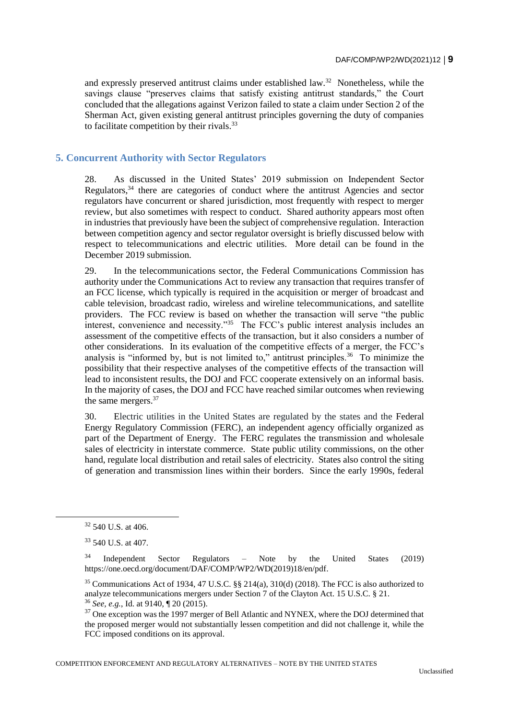and expressly preserved antitrust claims under established law.<sup>32</sup> Nonetheless, while the savings clause "preserves claims that satisfy existing antitrust standards," the Court concluded that the allegations against Verizon failed to state a claim under Section 2 of the Sherman Act, given existing general antitrust principles governing the duty of companies to facilitate competition by their rivals.<sup>33</sup>

# **5. Concurrent Authority with Sector Regulators**

28. As discussed in the United States' 2019 submission on Independent Sector Regulators,<sup>34</sup> there are categories of conduct where the antitrust Agencies and sector regulators have concurrent or shared jurisdiction, most frequently with respect to merger review, but also sometimes with respect to conduct. Shared authority appears most often in industries that previously have been the subject of comprehensive regulation. Interaction between competition agency and sector regulator oversight is briefly discussed below with respect to telecommunications and electric utilities. More detail can be found in the December 2019 submission.

29. In the telecommunications sector, the Federal Communications Commission has authority under the Communications Act to review any transaction that requires transfer of an FCC license, which typically is required in the acquisition or merger of broadcast and cable television, broadcast radio, wireless and wireline telecommunications, and satellite providers. The FCC review is based on whether the transaction will serve "the public interest, convenience and necessity."<sup>35</sup> The FCC's public interest analysis includes an assessment of the competitive effects of the transaction, but it also considers a number of other considerations. In its evaluation of the competitive effects of a merger, the FCC's analysis is "informed by, but is not limited to," antitrust principles.<sup>36</sup> To minimize the possibility that their respective analyses of the competitive effects of the transaction will lead to inconsistent results, the DOJ and FCC cooperate extensively on an informal basis. In the majority of cases, the DOJ and FCC have reached similar outcomes when reviewing the same mergers.<sup>37</sup>

30. Electric utilities in the United States are regulated by the states and the Federal Energy Regulatory Commission (FERC), an independent agency officially organized as part of the Department of Energy. The FERC regulates the transmission and wholesale sales of electricity in interstate commerce. State public utility commissions, on the other hand, regulate local distribution and retail sales of electricity. States also control the siting of generation and transmission lines within their borders. Since the early 1990s, federal

 $\overline{a}$ 

COMPETITION ENFORCEMENT AND REGULATORY ALTERNATIVES – NOTE BY THE UNITED STATES

<sup>32</sup> 540 U.S. at 406.

<sup>33</sup> 540 U.S. at 407.

 $34$  Independent Sector Regulators – Note by the United States (2019) https://one.oecd.org/document/DAF/COMP/WP2/WD(2019)18/en/pdf.

<sup>35</sup> Communications Act of 1934, 47 U.S.C. §§ 214(a), 310(d) (2018). The FCC is also authorized to analyze telecommunications mergers under Section 7 of the Clayton Act. 15 U.S.C. § 21. <sup>36</sup> *See, e.g.*, Id. at 9140, ¶ 20 (2015).

<sup>&</sup>lt;sup>37</sup> One exception was the 1997 merger of Bell Atlantic and NYNEX, where the DOJ determined that the proposed merger would not substantially lessen competition and did not challenge it, while the FCC imposed conditions on its approval.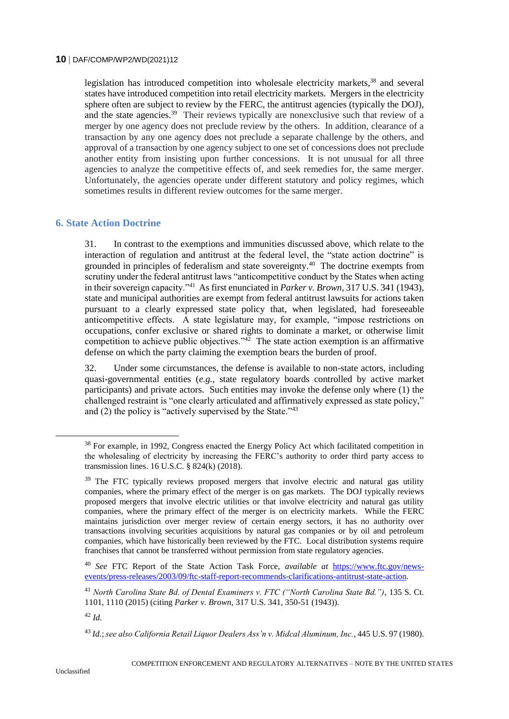legislation has introduced competition into wholesale electricity markets.<sup>38</sup> and several states have introduced competition into retail electricity markets. Mergers in the electricity sphere often are subject to review by the FERC, the antitrust agencies (typically the DOJ), and the state agencies.<sup>39</sup> Their reviews typically are nonexclusive such that review of a merger by one agency does not preclude review by the others. In addition, clearance of a transaction by any one agency does not preclude a separate challenge by the others, and approval of a transaction by one agency subject to one set of concessions does not preclude another entity from insisting upon further concessions. It is not unusual for all three agencies to analyze the competitive effects of, and seek remedies for, the same merger. Unfortunately, the agencies operate under different statutory and policy regimes, which sometimes results in different review outcomes for the same merger.

### **6. State Action Doctrine**

31. In contrast to the exemptions and immunities discussed above, which relate to the interaction of regulation and antitrust at the federal level, the "state action doctrine" is grounded in principles of federalism and state sovereignty.<sup>40</sup> The doctrine exempts from scrutiny under the federal antitrust laws "anticompetitive conduct by the States when acting in their sovereign capacity."<sup>41</sup> As first enunciated in *Parker v. Brown*, 317 U.S. 341 (1943), state and municipal authorities are exempt from federal antitrust lawsuits for actions taken pursuant to a clearly expressed state policy that, when legislated, had foreseeable anticompetitive effects. A state legislature may, for example, "impose restrictions on occupations, confer exclusive or shared rights to dominate a market, or otherwise limit competition to achieve public objectives." $42$  The state action exemption is an affirmative defense on which the party claiming the exemption bears the burden of proof.

32. Under some circumstances, the defense is available to non-state actors, including quasi-governmental entities (*e.g.*, state regulatory boards controlled by active market participants) and private actors. Such entities may invoke the defense only where (1) the challenged restraint is "one clearly articulated and affirmatively expressed as state policy," and (2) the policy is "actively supervised by the State." $43$ 

<sup>38</sup> For example, in 1992, Congress enacted the Energy Policy Act which facilitated competition in the wholesaling of electricity by increasing the FERC's authority to order third party access to transmission lines. 16 U.S.C. § 824(k) (2018).

<sup>&</sup>lt;sup>39</sup> The FTC typically reviews proposed mergers that involve electric and natural gas utility companies, where the primary effect of the merger is on gas markets. The DOJ typically reviews proposed mergers that involve electric utilities or that involve electricity and natural gas utility companies, where the primary effect of the merger is on electricity markets. While the FERC maintains jurisdiction over merger review of certain energy sectors, it has no authority over transactions involving securities acquisitions by natural gas companies or by oil and petroleum companies, which have historically been reviewed by the FTC. Local distribution systems require franchises that cannot be transferred without permission from state regulatory agencies.

<sup>40</sup> *See* FTC Report of the State Action Task Force, *available at* [https://www.ftc.gov/news](https://www.ftc.gov/news-events/press-releases/2003/09/ftc-staff-report-recommends-clarifications-antitrust-state-action)[events/press-releases/2003/09/ftc-staff-report-recommends-clarifications-antitrust-state-action](https://www.ftc.gov/news-events/press-releases/2003/09/ftc-staff-report-recommends-clarifications-antitrust-state-action)*.* 

<sup>41</sup> *North Carolina State Bd. of Dental Examiners v. FTC ("North Carolina State Bd.")*, 135 S. Ct. 1101, 1110 (2015) (citing *Parker v. Brown*, 317 U.S. 341, 350-51 (1943)).

<sup>42</sup> *Id.*

<sup>43</sup> *Id.*; *see also California Retail Liquor Dealers Ass'n v. Midcal Aluminum, Inc.*, 445 U.S. 97 (1980).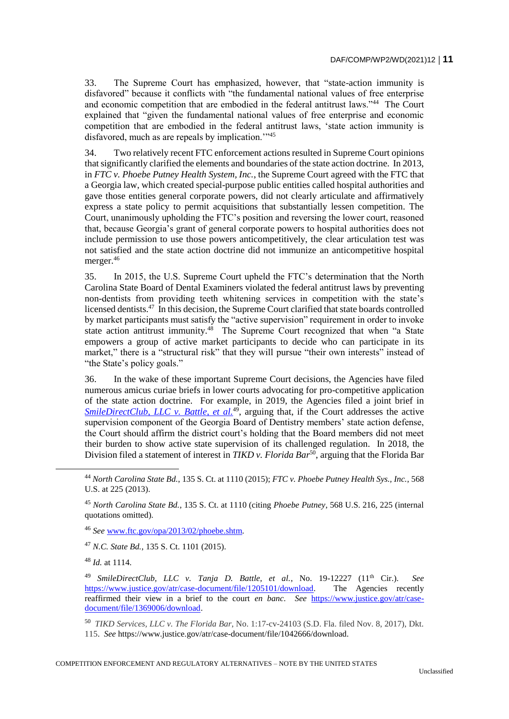33. The Supreme Court has emphasized, however, that "state-action immunity is disfavored" because it conflicts with "the fundamental national values of free enterprise and economic competition that are embodied in the federal antitrust laws."<sup>44</sup> The Court explained that "given the fundamental national values of free enterprise and economic competition that are embodied in the federal antitrust laws, 'state action immunity is disfavored, much as are repeals by implication.'"<sup>45</sup>

34. Two relatively recent FTC enforcement actions resulted in Supreme Court opinions that significantly clarified the elements and boundaries of the state action doctrine. In 2013, in *FTC v. Phoebe Putney Health System, Inc.*, the Supreme Court agreed with the FTC that a Georgia law, which created special-purpose public entities called hospital authorities and gave those entities general corporate powers, did not clearly articulate and affirmatively express a state policy to permit acquisitions that substantially lessen competition. The Court, unanimously upholding the FTC's position and reversing the lower court, reasoned that, because Georgia's grant of general corporate powers to hospital authorities does not include permission to use those powers anticompetitively, the clear articulation test was not satisfied and the state action doctrine did not immunize an anticompetitive hospital merger.<sup>46</sup>

35. In 2015, the U.S. Supreme Court upheld the FTC's determination that the North Carolina State Board of Dental Examiners violated the federal antitrust laws by preventing non-dentists from providing teeth whitening services in competition with the state's licensed dentists.<sup>47</sup> In this decision, the Supreme Court clarified that state boards controlled by market participants must satisfy the "active supervision" requirement in order to invoke state action antitrust immunity.<sup>48</sup> The Supreme Court recognized that when "a State empowers a group of active market participants to decide who can participate in its market," there is a "structural risk" that they will pursue "their own interests" instead of "the State's policy goals."

36. In the wake of these important Supreme Court decisions, the Agencies have filed numerous amicus curiae briefs in lower courts advocating for pro-competitive application of the state action doctrine. For example, in 2019, the Agencies filed a joint brief in *[SmileDirectClub, LLC v. Battle, et al.](https://www.ftc.gov/policy/advocacy/amicus-briefs/2019/09/smiledirectclub-llc-v-battle-et-al)*<sup>49</sup>, arguing that, if the Court addresses the active supervision component of the Georgia Board of Dentistry members' state action defense, the Court should affirm the district court's holding that the Board members did not meet their burden to show active state supervision of its challenged regulation. In 2018, the Division filed a statement of interest in *TIKD v. Florida Bar*<sup>50</sup>, arguing that the Florida Bar

<sup>47</sup> *N.C. State Bd.*, 135 S. Ct. 1101 (2015).

<sup>48</sup> *Id.* at 1114.

<sup>44</sup> *North Carolina State Bd.*, 135 S. Ct. at 1110 (2015); *FTC v. Phoebe Putney Health Sys., Inc.*, 568 U.S. at 225 (2013).

<sup>45</sup> *North Carolina State Bd.*, 135 S. Ct. at 1110 (citing *Phoebe Putney*, 568 U.S. 216, 225 (internal quotations omitted).

<sup>46</sup> *See* [www.ftc.gov/opa/2013/02/phoebe.shtm](http://www.ftc.gov/opa/2013/02/phoebe.shtm)*.*

<sup>49</sup> *SmileDirectClub, LLC v. Tanja D. Battle, et al.*, No. 19-12227 (11th Cir.). *See* [https://www.justice.gov/atr/case-document/file/1205101/download.](https://www.justice.gov/atr/case-document/file/1205101/download) The Agencies recently reaffirmed their view in a brief to the court *en banc*. *See* [https://www.justice.gov/atr/case](https://www.justice.gov/atr/case-document/file/1369006/download)[document/file/1369006/download.](https://www.justice.gov/atr/case-document/file/1369006/download)

<sup>50</sup> *TIKD Services, LLC v. The Florida Bar*, No. 1:17-cv-24103 (S.D. Fla. filed Nov. 8, 2017), Dkt. 115. *See* https://www.justice.gov/atr/case-document/file/1042666/download.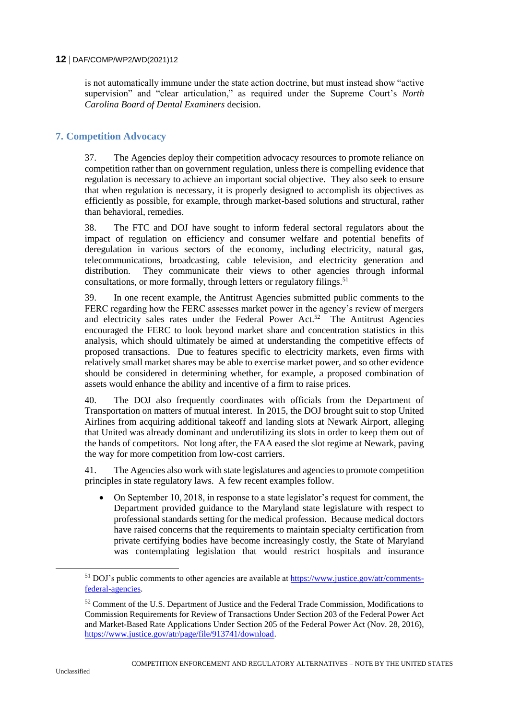is not automatically immune under the state action doctrine, but must instead show "active supervision" and "clear articulation," as required under the Supreme Court's *North Carolina Board of Dental Examiners* decision.

# **7. Competition Advocacy**

37. The Agencies deploy their competition advocacy resources to promote reliance on competition rather than on government regulation, unless there is compelling evidence that regulation is necessary to achieve an important social objective. They also seek to ensure that when regulation is necessary, it is properly designed to accomplish its objectives as efficiently as possible, for example, through market-based solutions and structural, rather than behavioral, remedies.

38. The FTC and DOJ have sought to inform federal sectoral regulators about the impact of regulation on efficiency and consumer welfare and potential benefits of deregulation in various sectors of the economy, including electricity, natural gas, telecommunications, broadcasting, cable television, and electricity generation and distribution. They communicate their views to other agencies through informal consultations, or more formally, through letters or regulatory filings.<sup>51</sup>

39. In one recent example, the Antitrust Agencies submitted public comments to the FERC regarding how the FERC assesses market power in the agency's review of mergers and electricity sales rates under the Federal Power Act.<sup>52</sup> The Antitrust Agencies encouraged the FERC to look beyond market share and concentration statistics in this analysis, which should ultimately be aimed at understanding the competitive effects of proposed transactions. Due to features specific to electricity markets, even firms with relatively small market shares may be able to exercise market power, and so other evidence should be considered in determining whether, for example, a proposed combination of assets would enhance the ability and incentive of a firm to raise prices.

40. The DOJ also frequently coordinates with officials from the Department of Transportation on matters of mutual interest. In 2015, the DOJ brought suit to stop United Airlines from acquiring additional takeoff and landing slots at Newark Airport, alleging that United was already dominant and underutilizing its slots in order to keep them out of the hands of competitors. Not long after, the FAA eased the slot regime at Newark, paving the way for more competition from low-cost carriers.

41. The Agencies also work with state legislatures and agencies to promote competition principles in state regulatory laws. A few recent examples follow.

 On September 10, 2018, in response to a state legislator's request for comment, the Department provided guidance to the Maryland state legislature with respect to professional standards setting for the medical profession. Because medical doctors have raised concerns that the requirements to maintain specialty certification from private certifying bodies have become increasingly costly, the State of Maryland was contemplating legislation that would restrict hospitals and insurance

 $51$  DOJ's public comments to other agencies are available at  $\frac{https://www.justice.gov/atr/comments-f~}{https://www.justice.gov/atr/comments-f~}$ [federal-agencies.](https://www.justice.gov/atr/comments-federal-agencies)

 $52$  Comment of the U.S. Department of Justice and the Federal Trade Commission, Modifications to Commission Requirements for Review of Transactions Under Section 203 of the Federal Power Act and Market-Based Rate Applications Under Section 205 of the Federal Power Act (Nov. 28, 2016), [https://www.justice.gov/atr/page/file/913741/download.](https://www.justice.gov/atr/page/file/913741/download)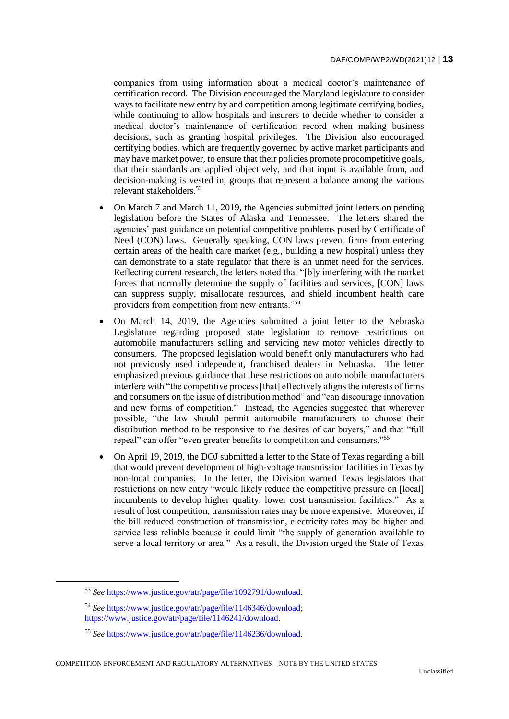companies from using information about a medical doctor's maintenance of certification record. The Division encouraged the Maryland legislature to consider ways to facilitate new entry by and competition among legitimate certifying bodies, while continuing to allow hospitals and insurers to decide whether to consider a medical doctor's maintenance of certification record when making business decisions, such as granting hospital privileges. The Division also encouraged certifying bodies, which are frequently governed by active market participants and may have market power, to ensure that their policies promote procompetitive goals, that their standards are applied objectively, and that input is available from, and decision-making is vested in, groups that represent a balance among the various relevant stakeholders.<sup>53</sup>

- On March 7 and March 11, 2019, the Agencies submitted joint letters on pending legislation before the States of Alaska and Tennessee. The letters shared the agencies' past guidance on potential competitive problems posed by Certificate of Need (CON) laws. Generally speaking, CON laws prevent firms from entering certain areas of the health care market (e.g., building a new hospital) unless they can demonstrate to a state regulator that there is an unmet need for the services. Reflecting current research, the letters noted that "[b]y interfering with the market forces that normally determine the supply of facilities and services, [CON] laws can suppress supply, misallocate resources, and shield incumbent health care providers from competition from new entrants."<sup>54</sup>
- On March 14, 2019, the Agencies submitted a joint letter to the Nebraska Legislature regarding proposed state legislation to remove restrictions on automobile manufacturers selling and servicing new motor vehicles directly to consumers. The proposed legislation would benefit only manufacturers who had not previously used independent, franchised dealers in Nebraska. The letter emphasized previous guidance that these restrictions on automobile manufacturers interfere with "the competitive process [that] effectively aligns the interests of firms and consumers on the issue of distribution method" and "can discourage innovation and new forms of competition." Instead, the Agencies suggested that wherever possible, "the law should permit automobile manufacturers to choose their distribution method to be responsive to the desires of car buyers," and that "full repeal" can offer "even greater benefits to competition and consumers."<sup>55</sup>
- On April 19, 2019, the DOJ submitted a letter to the State of Texas regarding a bill that would prevent development of high-voltage transmission facilities in Texas by non-local companies. In the letter, the Division warned Texas legislators that restrictions on new entry "would likely reduce the competitive pressure on [local] incumbents to develop higher quality, lower cost transmission facilities." As a result of lost competition, transmission rates may be more expensive. Moreover, if the bill reduced construction of transmission, electricity rates may be higher and service less reliable because it could limit "the supply of generation available to serve a local territory or area." As a result, the Division urged the State of Texas

<sup>53</sup> *See* [https://www.justice.gov/atr/page/file/1092791/download.](https://www.justice.gov/atr/page/file/1092791/download)

<sup>54</sup> *See* [https://www.justice.gov/atr/page/file/1146346/download;](https://www.justice.gov/atr/page/file/1146346/download) [https://www.justice.gov/atr/page/file/1146241/download.](https://www.justice.gov/atr/page/file/1146241/download)

<sup>55</sup> *See* [https://www.justice.gov/atr/page/file/1146236/download.](https://www.justice.gov/atr/page/file/1146236/download)